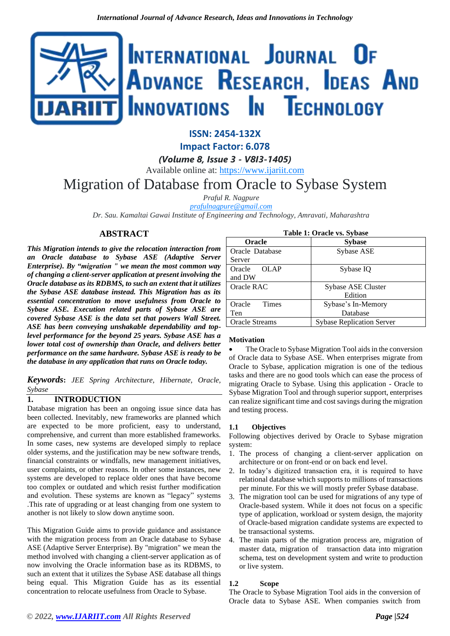# INTERNATIONAL JOURNAL OF ADVANCE RESEARCH, IDEAS AND nnovations **I**n Technology

### **ISSN: 2454-132X**

**Impact Factor: 6.078**

*(Volume 8, Issue 3 - V8I3-1405)*

Available online at: [https://www.ijariit.com](https://www.ijariit.com/?utm_source=pdf&utm_medium=edition&utm_campaign=OmAkSols&utm_term=V8I3-1405)

# Migration of Database from Oracle to Sybase System

*Praful R. Nagpure [prafulnagpure@gmail.com](mailto:prafulnagpure@gmail.com)*

*Dr. Sau. Kamaltai Gawai Institute of Engineering and Technology, Amravati, Maharashtra*

#### **ABSTRACT**

*This Migration intends to give the relocation interaction from an Oracle database to Sybase ASE (Adaptive Server Enterprise). By "migration " we mean the most common way of changing a client-server application at present involving the Oracle database as its RDBMS, to such an extent that it utilizes the Sybase ASE database instead. This Migration has as its essential concentration to move usefulness from Oracle to Sybase ASE. Execution related parts of Sybase ASE are covered Sybase ASE is the data set that powers Wall Street. ASE has been conveying unshakable dependability and toplevel performance for the beyond 25 years. Sybase ASE has a lower total cost of ownership than Oracle, and delivers better performance on the same hardware. Sybase ASE is ready to be the database in any application that runs on Oracle today.*

*Keywords***:** *JEE Spring Architecture, Hibernate, Oracle, Sybase*

#### **1. INTRODUCTION**

Database migration has been an ongoing issue since data has been collected. Inevitably, new frameworks are planned which are expected to be more proficient, easy to understand, comprehensive, and current than more established frameworks. In some cases, new systems are developed simply to replace older systems, and the justification may be new software trends, financial constraints or windfalls, new management initiatives, user complaints, or other reasons. In other some instances, new systems are developed to replace older ones that have become too complex or outdated and which resist further modification and evolution. These systems are known as "legacy" systems .This rate of upgrading or at least changing from one system to another is not likely to slow down anytime soon.

This Migration Guide aims to provide guidance and assistance with the migration process from an Oracle database to Sybase ASE (Adaptive Server Enterprise). By "migration" we mean the method involved with changing a client-server application as of now involving the Oracle information base as its RDBMS, to such an extent that it utilizes the Sybase ASE database all things being equal. This Migration Guide has as its essential concentration to relocate usefulness from Oracle to Sybase.

| Table 1: Oracle vs. Sybase |                                  |
|----------------------------|----------------------------------|
| <b>Oracle</b>              | <b>Sybase</b>                    |
| Oracle Database            | Sybase ASE                       |
| Server                     |                                  |
| <b>OLAP</b><br>Oracle      | Sybase IQ                        |
| and DW                     |                                  |
| Oracle RAC                 | Sybase ASE Cluster               |
|                            | Edition                          |
| Oracle<br><b>Times</b>     | Sybase's In-Memory               |
| Ten                        | Database                         |
| <b>Oracle Streams</b>      | <b>Sybase Replication Server</b> |

#### **Motivation**

The Oracle to Sybase Migration Tool aids in the conversion of Oracle data to Sybase ASE. When enterprises migrate from Oracle to Sybase, application migration is one of the tedious tasks and there are no good tools which can ease the process of migrating Oracle to Sybase. Using this application - Oracle to Sybase Migration Tool and through superior support, enterprises can realize significant time and cost savings during the migration and testing process.

#### **1.1 Objectives**

Following objectives derived by Oracle to Sybase migration system:

- 1. The process of changing a client-server application on architecture or on front-end or on back end level.
- 2. In today's digitized transaction era, it is required to have relational database which supports to millions of transactions per minute. For this we will mostly prefer Sybase database.
- 3. The migration tool can be used for migrations of any type of Oracle-based system. While it does not focus on a specific type of application, workload or system design, the majority of Oracle-based migration candidate systems are expected to be transactional systems.
- 4. The main parts of the migration process are, migration of master data, migration of transaction data into migration schema, test on development system and write to production or live system.

#### **1.2 Scope**

The Oracle to Sybase Migration Tool aids in the conversion of Oracle data to Sybase ASE. When companies switch from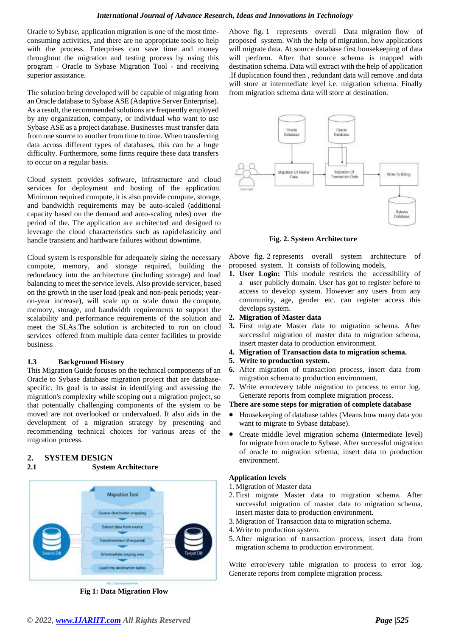#### *International Journal of Advance Research, Ideas and Innovations in Technology*

Oracle to Sybase, application migration is one of the most timeconsuming activities, and there are no appropriate tools to help with the process. Enterprises can save time and money throughout the migration and testing process by using this program - Oracle to Sybase Migration Tool - and receiving superior assistance.

The solution being developed will be capable of migrating from an Oracle database to Sybase ASE (Adaptive Server Enterprise). As a result, the recommended solutions are frequently employed by any organization, company, or individual who want to use Sybase ASE as a project database. Businesses must transfer data from one source to another from time to time. When transferring data across different types of databases, this can be a huge difficulty. Furthermore, some firms require these data transfers to occur on a regular basis.

Cloud system provides software, infrastructure and cloud services for deployment and hosting of the application. Minimum required compute, it is also provide compute, storage, and bandwidth requirements may be auto-scaled (additional capacity based on the demand and auto-scaling rules) over the period of the. The application are architected and designed to leverage the cloud characteristics such as rapid elasticity and handle transient and hardware failures without downtime.

Cloud system is responsible for adequately sizing the necessary compute, memory, and storage required, building the redundancy into the architecture (including storage) and load balancing to meet the service levels. Also provide servicer, based on the growth in the user load (peak and non-peak periods; yearon-year increase), will scale up or scale down the compute, memory, storage, and bandwidth requirements to support the scalability and performance requirements of the solution and meet the SLAs.The solution is architected to run on cloud services offered from multiple data center facilities to provide business

#### **1.3 Background History**

This Migration Guide focuses on the technical components of an Oracle to Sybase database migration project that are databasespecific. Its goal is to assist in identifying and assessing the migration's complexity while scoping out a migration project, so that potentially challenging components of the system to be moved are not overlooked or undervalued. It also aids in the development of a migration strategy by presenting and recommending technical choices for various areas of the migration process.

#### **2. SYSTEM DESIGN**

**2.1 System Architecture**



**Fig 1: Data Migration Flow**

Above fig. 1 represents overall Data migration flow of proposed system. With the help of migration, how applications will migrate data. At source database first housekeeping of data will perform. After that source schema is mapped with destination schema. Data will extract with the help of application .If duplication found then , redundant data will remove .and data will store at intermediate level i.e. migration schema. Finally from migration schema data will store at destination.



**Fig. 2. System Architecture**

Above fig. 2 represents overall system architecture of proposed system. It consists of following models,

- **1. User Login:** This module restricts the accessibility of a user publicly domain. User has got to register before to access to develop system. However any users from any community, age, gender etc. can register access this develops system.
- **2. Migration of Master data**
- **3.** First migrate Master data to migration schema. After successful migration of master data to migration schema, insert master data to production environment.
- **4. Migration of Transaction data to migration schema.**
- **5. Write to production system.**
- **6.** After migration of transaction process, insert data from migration schema to production environment.
- **7.** Write error/every table migration to process to error log. Generate reports from complete migration process.

#### **There are some steps for migration of complete database**

- Housekeeping of database tables (Means how many data you want to migrate to Sybase database).
- Create middle level migration schema (Intermediate level) for migrate from oracle to Sybase. After successful migration of oracle to migration schema, insert data to production environment.

#### **Application levels**

- 1.Migration of Master data
- 2. First migrate Master data to migration schema. After successful migration of master data to migration schema, insert master data to production environment.
- 3.Migration of Transaction data to migration schema.
- 4.Write to production system.
- 5. After migration of transaction process, insert data from migration schema to production environment.

Write error/every table migration to process to error log. Generate reports from complete migration process.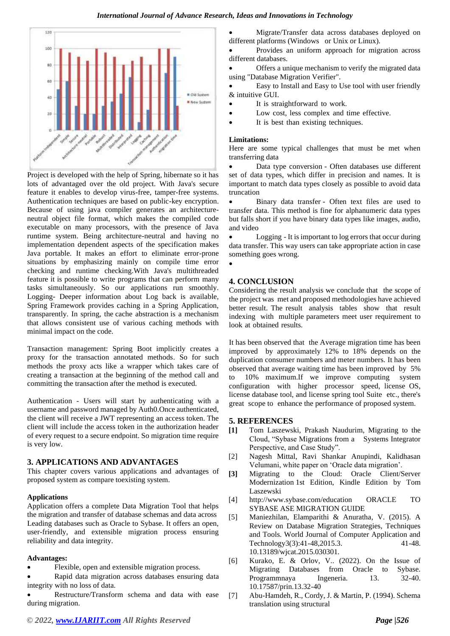

Project is developed with the help of Spring, hibernate so it has lots of advantaged over the old project. With Java's secure feature it enables to develop virus-free, tamper-free systems. Authentication techniques are based on public-key encryption. Because of using java compiler generates an architectureneutral object file format, which makes the compiled code executable on many processors, with the presence of Java runtime system. Being architecture-neutral and having no implementation dependent aspects of the specification makes Java portable. It makes an effort to eliminate error-prone situations by emphasizing mainly on compile time error checking and runtime checking.With Java's multithreaded feature it is possible to write programs that can perform many tasks simultaneously. So our applications run smoothly. Logging- Deeper information about Log back is available, Spring Framework provides caching in a Spring Application, transparently. In spring, the cache abstraction is a mechanism that allows consistent use of various caching methods with minimal impact on the code.

Transaction management: Spring Boot implicitly creates a proxy for the transaction annotated methods. So for such methods the proxy acts like a wrapper which takes care of creating a transaction at the beginning of the method call and committing the transaction after the method is executed.

Authentication - Users will start by authenticating with a username and password managed by Auth0.Once authenticated, the client will receive a JWT representing an access token. The client will include the access token in the authorization header of every request to a secure endpoint. So migration time require is very low.

#### **3. APPLICATIONS AND ADVANTAGES**

This chapter covers various applications and advantages of proposed system as compare toexisting system.

#### **Applications**

Application offers a complete Data Migration Tool that helps the migration and transfer of database schemas and data across Leading databases such as Oracle to Sybase. It offers an open, user-friendly, and extensible migration process ensuring reliability and data integrity.

#### **Advantages:**

- Flexible, open and extensible migration process.
- Rapid data migration across databases ensuring data integrity with no loss of data.

• Restructure/Transform schema and data with ease during migration.

• Migrate/Transfer data across databases deployed on different platforms (Windows or Unix or Linux).

• Provides an uniform approach for migration across different databases.

Offers a unique mechanism to verify the migrated data using "Database Migration Verifier".

• Easy to Install and Easy to Use tool with user friendly & intuitive GUI.

- It is straightforward to work.
- Low cost, less complex and time effective.
- It is best than existing techniques.

#### **Limitations:**

Here are some typical challenges that must be met when transferring data

• Data type conversion - Often databases use different set of data types, which differ in precision and names. It is important to match data types closely as possible to avoid data truncation

• Binary data transfer - Often text files are used to transfer data. This method is fine for alphanumeric data types but falls short if you have binary data types like images, audio, and video

• Logging - It is important to log errors that occur during data transfer. This way users can take appropriate action in case something goes wrong.

## •

#### **4. CONCLUSION**

Considering the result analysis we conclude that the scope of the project was met and proposed methodologies have achieved better result. The result analysis tables show that result indexing with multiple parameters meet user requirement to look at obtained results.

It has been observed that the Average migration time has been improved by approximately 12% to 18% depends on the duplication consumer numbers and meter numbers. It has been observed that average waiting time has been improved by 5% to 10% maximum.If we improve computing system configuration with higher processor speed, license OS, license database tool, and license spring tool Suite etc., there's great scope to enhance the performance of proposed system.

#### **5. REFERENCES**

- **[1]** [Tom Laszewski,](https://www.researchgate.net/scientific-contributions/Tom-Laszewski-2090971850) [Prakash Naudurim](https://www.researchgate.net/scientific-contributions/Prakash-Nauduri-2090933368), Migrating to the Cloud, "Sybase Migrations from a Systems Integrator Perspective, and Case Study".
- [2] Nagesh Mittal, Ravi Shankar Anupindi, Kalidhasan Velumani, white paper on 'Oracle data migration'.
- **[3]** Migrating to the Cloud: Oracle Client/Server Modernization 1st Edition, Kindle Edition by Tom Laszewski
- [4] http://www.sybase.com/education ORACLE TO SYBASE ASE MIGRATION GUIDE
- [5] Maniezhilan, Elamparithi & Anuratha, V. (2015). A Review on Database Migration Strategies, Techniques and Tools. World Journal of Computer Application and Technology3(3):41-48,2015.3. 41-48. 10.13189/wjcat.2015.030301.
- [6] Kurako, E. & Orlov, V.. (2022). On the Issue of Migrating Databases from Oracle to Sybase. Programmnaya Ingeneria. 13. 32-40. 10.17587/prin.13.32-40
- [7] Abu-Hamdeh, R., Cordy, J. & Martin, P. (1994). Schema translation using structural